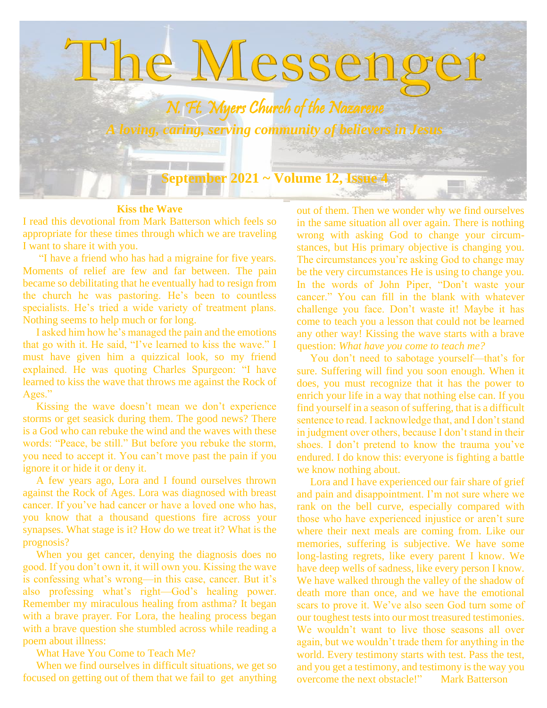

#### **Kiss the Wave**

I read this devotional from Mark Batterson which feels so appropriate for these times through which we are traveling I want to share it with you.

 "I have a friend who has had a migraine for five years. Moments of relief are few and far between. The pain became so debilitating that he eventually had to resign from the church he was pastoring. He's been to countless specialists. He's tried a wide variety of treatment plans. Nothing seems to help much or for long.

 I asked him how he's managed the pain and the emotions that go with it. He said, "I've learned to kiss the wave." I must have given him a quizzical look, so my friend explained. He was quoting Charles Spurgeon: "I have learned to kiss the wave that throws me against the Rock of Ages."

 Kissing the wave doesn't mean we don't experience storms or get seasick during them. The good news? There is a God who can rebuke the wind and the waves with these words: "Peace, be still." But before you rebuke the storm, you need to accept it. You can't move past the pain if you ignore it or hide it or deny it.

 A few years ago, Lora and I found ourselves thrown against the Rock of Ages. Lora was diagnosed with breast cancer. If you've had cancer or have a loved one who has, you know that a thousand questions fire across your synapses. What stage is it? How do we treat it? What is the prognosis?

 When you get cancer, denying the diagnosis does no good. If you don't own it, it will own you. Kissing the wave is confessing what's wrong—in this case, cancer. But it's also professing what's right—God's healing power. Remember my miraculous healing from asthma? It began with a brave prayer. For Lora, the healing process began with a brave question she stumbled across while reading a poem about illness:

What Have You Come to Teach Me?

 When we find ourselves in difficult situations, we get so focused on getting out of them that we fail to get anything

out of them. Then we wonder why we find ourselves in the same situation all over again. There is nothing wrong with asking God to change your circumstances, but His primary objective is changing you. The circumstances you're asking God to change may be the very circumstances He is using to change you. In the words of John Piper, "Don't waste your cancer." You can fill in the blank with whatever challenge you face. Don't waste it! Maybe it has come to teach you a lesson that could not be learned any other way! Kissing the wave starts with a brave question: *What have you come to teach me?*

 You don't need to sabotage yourself—that's for sure. Suffering will find you soon enough. When it does, you must recognize that it has the power to enrich your life in a way that nothing else can. If you find yourself in a season of suffering, that is a difficult sentence to read. I acknowledge that, and I don't stand in judgment over others, because I don't stand in their shoes. I don't pretend to know the trauma you've endured. I do know this: everyone is fighting a battle we know nothing about.

 Lora and I have experienced our fair share of grief and pain and disappointment. I'm not sure where we rank on the bell curve, especially compared with those who have experienced injustice or aren't sure where their next meals are coming from. Like our memories, suffering is subjective. We have some long-lasting regrets, like every parent I know. We have deep wells of sadness, like every person I know. We have walked through the valley of the shadow of death more than once, and we have the emotional scars to prove it. We've also seen God turn some of our toughest tests into our most treasured testimonies. We wouldn't want to live those seasons all over again, but we wouldn't trade them for anything in the world. Every testimony starts with test. Pass the test, and you get a testimony, and testimony is the way you overcome the next obstacle!" Mark Batterson